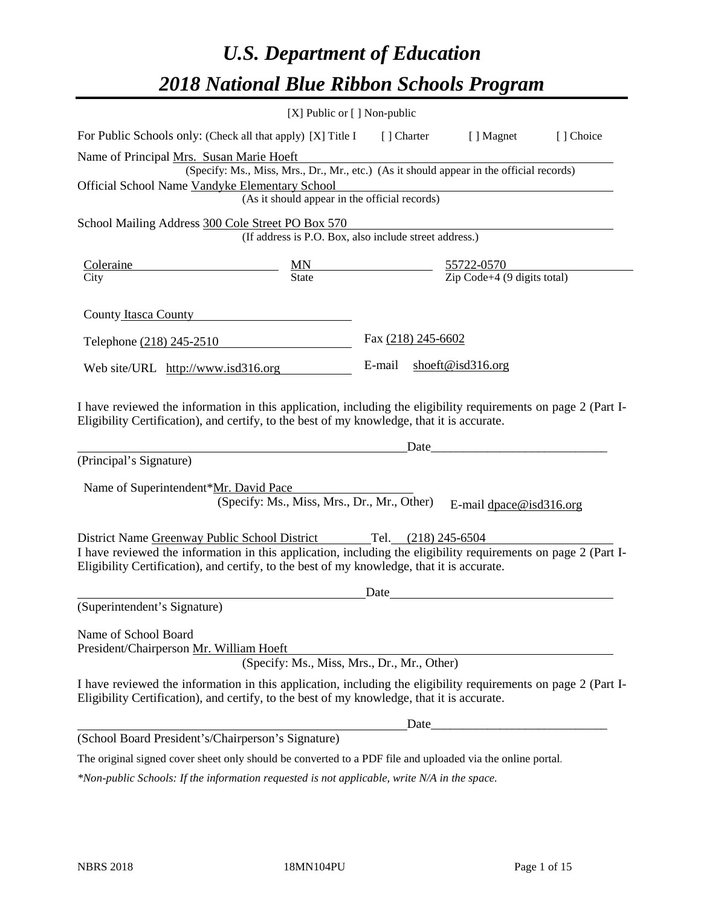# *U.S. Department of Education 2018 National Blue Ribbon Schools Program*

|                                                                                                                                                                                                                                                               | [X] Public or [] Non-public                                                              |                    |                     |                                               |            |
|---------------------------------------------------------------------------------------------------------------------------------------------------------------------------------------------------------------------------------------------------------------|------------------------------------------------------------------------------------------|--------------------|---------------------|-----------------------------------------------|------------|
| For Public Schools only: (Check all that apply) [X] Title I                                                                                                                                                                                                   |                                                                                          | [] Charter         |                     | [ ] Magnet                                    | [ ] Choice |
| Name of Principal Mrs. Susan Marie Hoeft<br>Official School Name Vandyke Elementary School                                                                                                                                                                    | (Specify: Ms., Miss, Mrs., Dr., Mr., etc.) (As it should appear in the official records) |                    |                     |                                               |            |
|                                                                                                                                                                                                                                                               | (As it should appear in the official records)                                            |                    |                     |                                               |            |
| School Mailing Address 300 Cole Street PO Box 570                                                                                                                                                                                                             | (If address is P.O. Box, also include street address.)                                   |                    |                     |                                               |            |
| Coleraine                                                                                                                                                                                                                                                     |                                                                                          |                    |                     | 55722-0570                                    |            |
| City                                                                                                                                                                                                                                                          | $\frac{MN}{State}$                                                                       |                    |                     | $\overline{Zip Code + 4 (9 digits total)}$    |            |
| County Itasca County                                                                                                                                                                                                                                          |                                                                                          |                    |                     |                                               |            |
| Telephone (218) 245-2510                                                                                                                                                                                                                                      |                                                                                          | Fax (218) 245-6602 |                     |                                               |            |
| Web site/URL http://www.isd316.org                                                                                                                                                                                                                            |                                                                                          | E-mail             |                     | shoeft@isd316.org                             |            |
| Eligibility Certification), and certify, to the best of my knowledge, that it is accurate.<br>(Principal's Signature)<br>Name of Superintendent*Mr. David Pace                                                                                                | (Specify: Ms., Miss, Mrs., Dr., Mr., Other)                                              |                    | Date                | E-mail $dpace@isd316.org$                     |            |
| District Name Greenway Public School District<br>I have reviewed the information in this application, including the eligibility requirements on page 2 (Part I-<br>Eligibility Certification), and certify, to the best of my knowledge, that it is accurate. |                                                                                          |                    | Tel. (218) 245-6504 |                                               |            |
| (Superintendent's Signature)                                                                                                                                                                                                                                  |                                                                                          | Date               |                     |                                               |            |
| Name of School Board<br>President/Chairperson Mr. William Hoeft                                                                                                                                                                                               | (Specify: Ms., Miss, Mrs., Dr., Mr., Other)                                              |                    |                     |                                               |            |
| I have reviewed the information in this application, including the eligibility requirements on page 2 (Part I-<br>Eligibility Certification), and certify, to the best of my knowledge, that it is accurate.                                                  |                                                                                          |                    |                     |                                               |            |
|                                                                                                                                                                                                                                                               |                                                                                          |                    | Date_               | <u> 1980 - Andrea Andrew Maria (h. 1980).</u> |            |
| (School Board President's/Chairperson's Signature)                                                                                                                                                                                                            |                                                                                          |                    |                     |                                               |            |
| The original signed cover sheet only should be converted to a PDF file and uploaded via the online portal.                                                                                                                                                    |                                                                                          |                    |                     |                                               |            |

*\*Non-public Schools: If the information requested is not applicable, write N/A in the space.*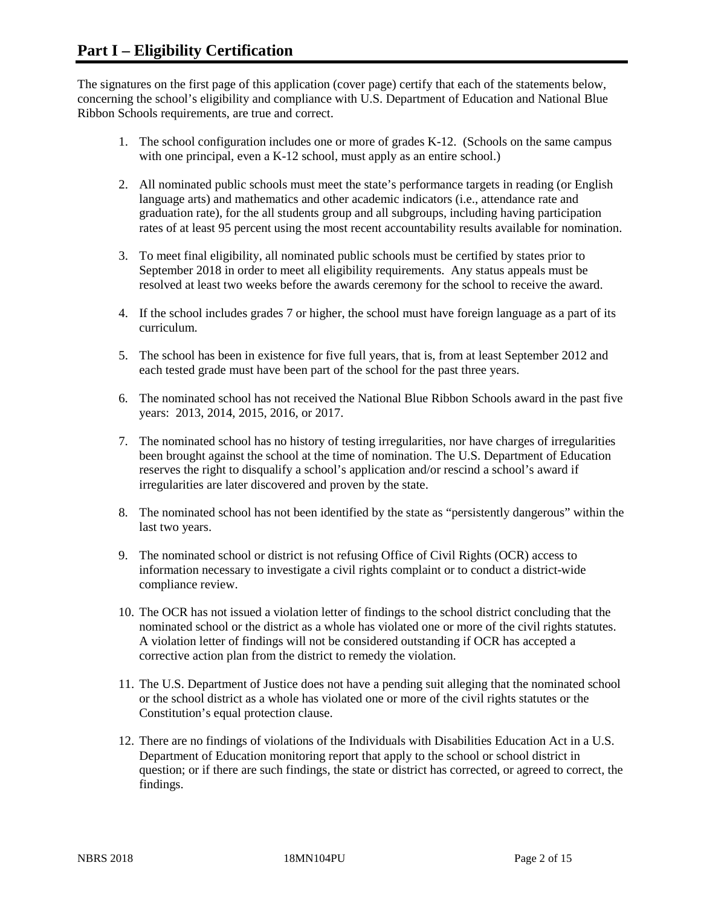The signatures on the first page of this application (cover page) certify that each of the statements below, concerning the school's eligibility and compliance with U.S. Department of Education and National Blue Ribbon Schools requirements, are true and correct.

- 1. The school configuration includes one or more of grades K-12. (Schools on the same campus with one principal, even a K-12 school, must apply as an entire school.)
- 2. All nominated public schools must meet the state's performance targets in reading (or English language arts) and mathematics and other academic indicators (i.e., attendance rate and graduation rate), for the all students group and all subgroups, including having participation rates of at least 95 percent using the most recent accountability results available for nomination.
- 3. To meet final eligibility, all nominated public schools must be certified by states prior to September 2018 in order to meet all eligibility requirements. Any status appeals must be resolved at least two weeks before the awards ceremony for the school to receive the award.
- 4. If the school includes grades 7 or higher, the school must have foreign language as a part of its curriculum.
- 5. The school has been in existence for five full years, that is, from at least September 2012 and each tested grade must have been part of the school for the past three years.
- 6. The nominated school has not received the National Blue Ribbon Schools award in the past five years: 2013, 2014, 2015, 2016, or 2017.
- 7. The nominated school has no history of testing irregularities, nor have charges of irregularities been brought against the school at the time of nomination. The U.S. Department of Education reserves the right to disqualify a school's application and/or rescind a school's award if irregularities are later discovered and proven by the state.
- 8. The nominated school has not been identified by the state as "persistently dangerous" within the last two years.
- 9. The nominated school or district is not refusing Office of Civil Rights (OCR) access to information necessary to investigate a civil rights complaint or to conduct a district-wide compliance review.
- 10. The OCR has not issued a violation letter of findings to the school district concluding that the nominated school or the district as a whole has violated one or more of the civil rights statutes. A violation letter of findings will not be considered outstanding if OCR has accepted a corrective action plan from the district to remedy the violation.
- 11. The U.S. Department of Justice does not have a pending suit alleging that the nominated school or the school district as a whole has violated one or more of the civil rights statutes or the Constitution's equal protection clause.
- 12. There are no findings of violations of the Individuals with Disabilities Education Act in a U.S. Department of Education monitoring report that apply to the school or school district in question; or if there are such findings, the state or district has corrected, or agreed to correct, the findings.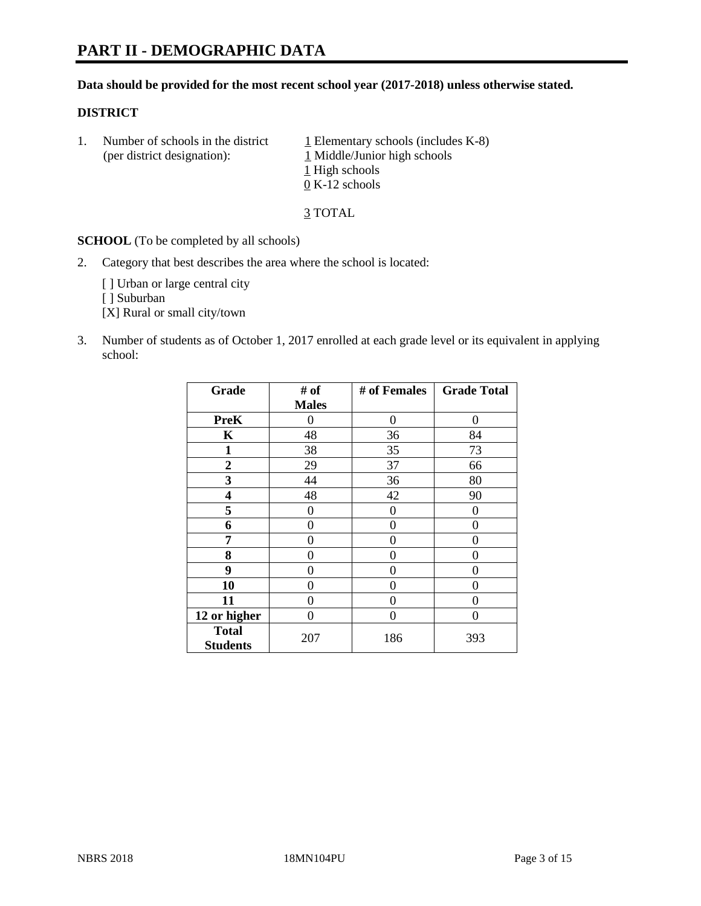# **PART II - DEMOGRAPHIC DATA**

## **Data should be provided for the most recent school year (2017-2018) unless otherwise stated.**

#### **DISTRICT**

1. Number of schools in the district  $1$  Elementary schools (includes K-8) (per district designation): 1 Middle/Junior high schools 1 High schools 0 K-12 schools

3 TOTAL

**SCHOOL** (To be completed by all schools)

2. Category that best describes the area where the school is located:

[] Urban or large central city

[ ] Suburban

[X] Rural or small city/town

3. Number of students as of October 1, 2017 enrolled at each grade level or its equivalent in applying school:

| Grade                           | # of         | # of Females   | <b>Grade Total</b> |
|---------------------------------|--------------|----------------|--------------------|
|                                 | <b>Males</b> |                |                    |
| <b>PreK</b>                     | 0            | $\overline{0}$ | 0                  |
| K                               | 48           | 36             | 84                 |
| 1                               | 38           | 35             | 73                 |
| $\overline{2}$                  | 29           | 37             | 66                 |
| 3                               | 44           | 36             | 80                 |
| 4                               | 48           | 42             | 90                 |
| 5                               | 0            | 0              | 0                  |
| 6                               | 0            | 0              | 0                  |
| 7                               | 0            | 0              | 0                  |
| 8                               | 0            | 0              | 0                  |
| 9                               | 0            | 0              | 0                  |
| 10                              | 0            | 0              | 0                  |
| 11                              | 0            | 0              | 0                  |
| 12 or higher                    | 0            | 0              | 0                  |
| <b>Total</b><br><b>Students</b> | 207          | 186            | 393                |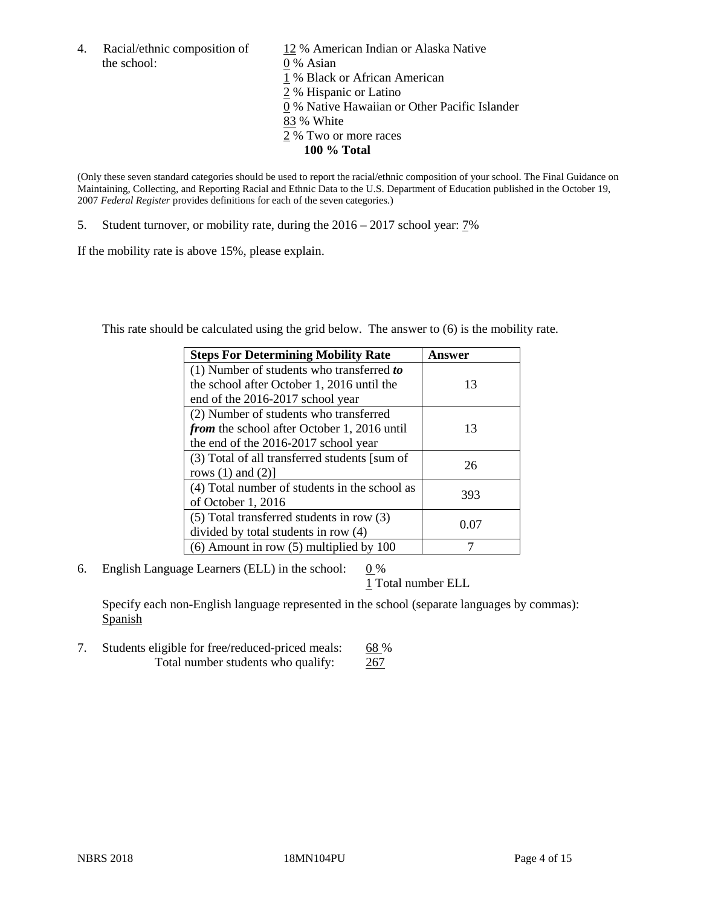the school: 0 % Asian

4. Racial/ethnic composition of  $12%$  American Indian or Alaska Native 1 % Black or African American 2 % Hispanic or Latino 0 % Native Hawaiian or Other Pacific Islander 83 % White 2 % Two or more races **100 % Total**

(Only these seven standard categories should be used to report the racial/ethnic composition of your school. The Final Guidance on Maintaining, Collecting, and Reporting Racial and Ethnic Data to the U.S. Department of Education published in the October 19, 2007 *Federal Register* provides definitions for each of the seven categories.)

5. Student turnover, or mobility rate, during the 2016 – 2017 school year: 7%

If the mobility rate is above 15%, please explain.

This rate should be calculated using the grid below. The answer to (6) is the mobility rate.

| <b>Steps For Determining Mobility Rate</b>         | Answer |
|----------------------------------------------------|--------|
| (1) Number of students who transferred to          |        |
| the school after October 1, 2016 until the         | 13     |
| end of the 2016-2017 school year                   |        |
| (2) Number of students who transferred             |        |
| <i>from</i> the school after October 1, 2016 until | 13     |
| the end of the 2016-2017 school year               |        |
| (3) Total of all transferred students [sum of      | 26     |
| rows $(1)$ and $(2)$ ]                             |        |
| (4) Total number of students in the school as      |        |
| of October 1, 2016                                 | 393    |
| (5) Total transferred students in row (3)          |        |
| divided by total students in row (4)               | 0.07   |
| $(6)$ Amount in row $(5)$ multiplied by 100        |        |

6. English Language Learners (ELL) in the school:  $0\%$ 

1 Total number ELL

Specify each non-English language represented in the school (separate languages by commas): **Spanish** 

7. Students eligible for free/reduced-priced meals: 68 % Total number students who qualify: 267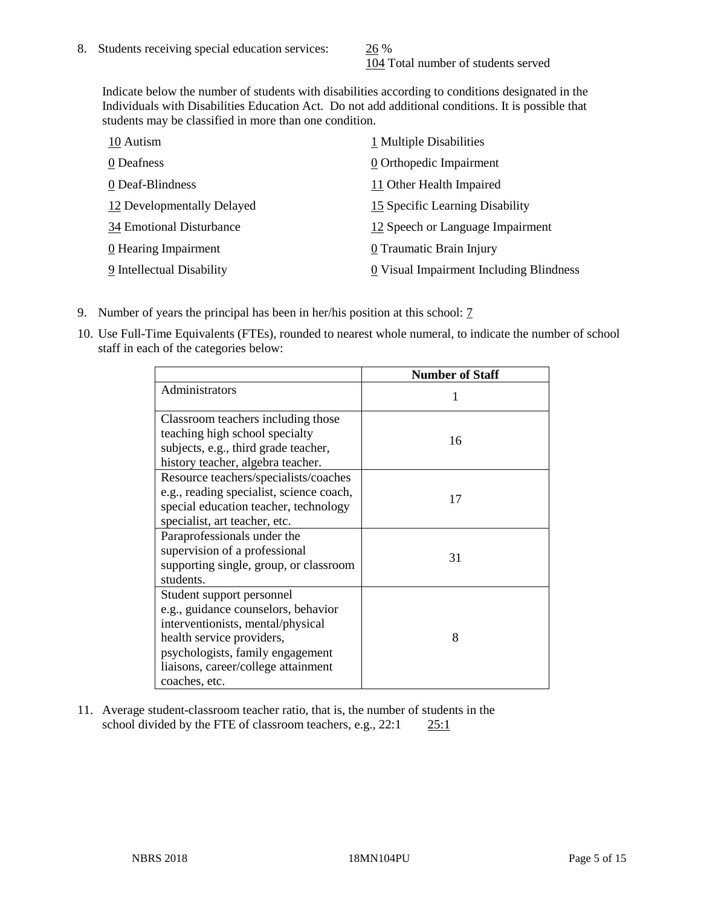104 Total number of students served

Indicate below the number of students with disabilities according to conditions designated in the Individuals with Disabilities Education Act. Do not add additional conditions. It is possible that students may be classified in more than one condition.

| 10 Autism                  | 1 Multiple Disabilities                 |
|----------------------------|-----------------------------------------|
| 0 Deafness                 | 0 Orthopedic Impairment                 |
| 0 Deaf-Blindness           | 11 Other Health Impaired                |
| 12 Developmentally Delayed | 15 Specific Learning Disability         |
| 34 Emotional Disturbance   | 12 Speech or Language Impairment        |
| 0 Hearing Impairment       | 0 Traumatic Brain Injury                |
| 9 Intellectual Disability  | 0 Visual Impairment Including Blindness |

- 9. Number of years the principal has been in her/his position at this school: 7
- 10. Use Full-Time Equivalents (FTEs), rounded to nearest whole numeral, to indicate the number of school staff in each of the categories below:

|                                                                                                                                                                                                                                | <b>Number of Staff</b> |
|--------------------------------------------------------------------------------------------------------------------------------------------------------------------------------------------------------------------------------|------------------------|
| Administrators                                                                                                                                                                                                                 |                        |
| Classroom teachers including those<br>teaching high school specialty<br>subjects, e.g., third grade teacher,<br>history teacher, algebra teacher.                                                                              | 16                     |
| Resource teachers/specialists/coaches<br>e.g., reading specialist, science coach,<br>special education teacher, technology<br>specialist, art teacher, etc.                                                                    | 17                     |
| Paraprofessionals under the<br>supervision of a professional<br>supporting single, group, or classroom<br>students.                                                                                                            | 31                     |
| Student support personnel<br>e.g., guidance counselors, behavior<br>interventionists, mental/physical<br>health service providers,<br>psychologists, family engagement<br>liaisons, career/college attainment<br>coaches, etc. | 8                      |

11. Average student-classroom teacher ratio, that is, the number of students in the school divided by the FTE of classroom teachers, e.g., 22:1 25:1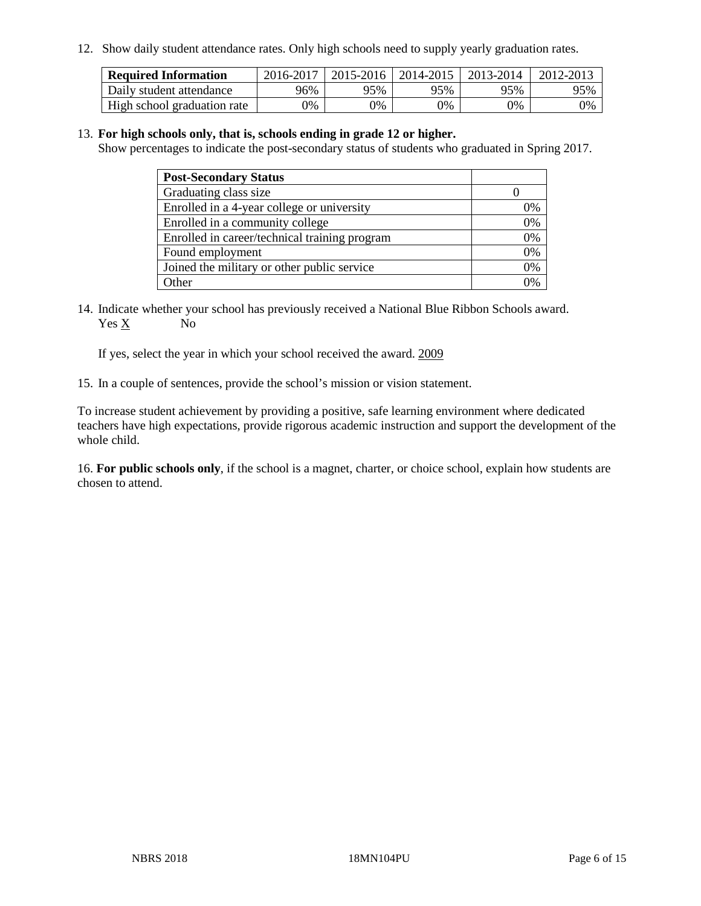12. Show daily student attendance rates. Only high schools need to supply yearly graduation rates.

| <b>Required Information</b> | 2016-2017 | $2015 - 2016$ | 2014-2015 | 2013-2014 | 2012-2013 |
|-----------------------------|-----------|---------------|-----------|-----------|-----------|
| Daily student attendance    | 96%       | 95%           | 95%       | 95%       | 95%       |
| High school graduation rate | 0%        | 0%            | 0%        | 9%        | 0%        |

#### 13. **For high schools only, that is, schools ending in grade 12 or higher.**

Show percentages to indicate the post-secondary status of students who graduated in Spring 2017.

| <b>Post-Secondary Status</b>                  |    |
|-----------------------------------------------|----|
| Graduating class size                         |    |
| Enrolled in a 4-year college or university    | 0% |
| Enrolled in a community college               | 0% |
| Enrolled in career/technical training program | 0% |
| Found employment                              | 0% |
| Joined the military or other public service   | 0% |
| Other                                         | ገ% |

14. Indicate whether your school has previously received a National Blue Ribbon Schools award. Yes X No

If yes, select the year in which your school received the award. 2009

15. In a couple of sentences, provide the school's mission or vision statement.

To increase student achievement by providing a positive, safe learning environment where dedicated teachers have high expectations, provide rigorous academic instruction and support the development of the whole child.

16. **For public schools only**, if the school is a magnet, charter, or choice school, explain how students are chosen to attend.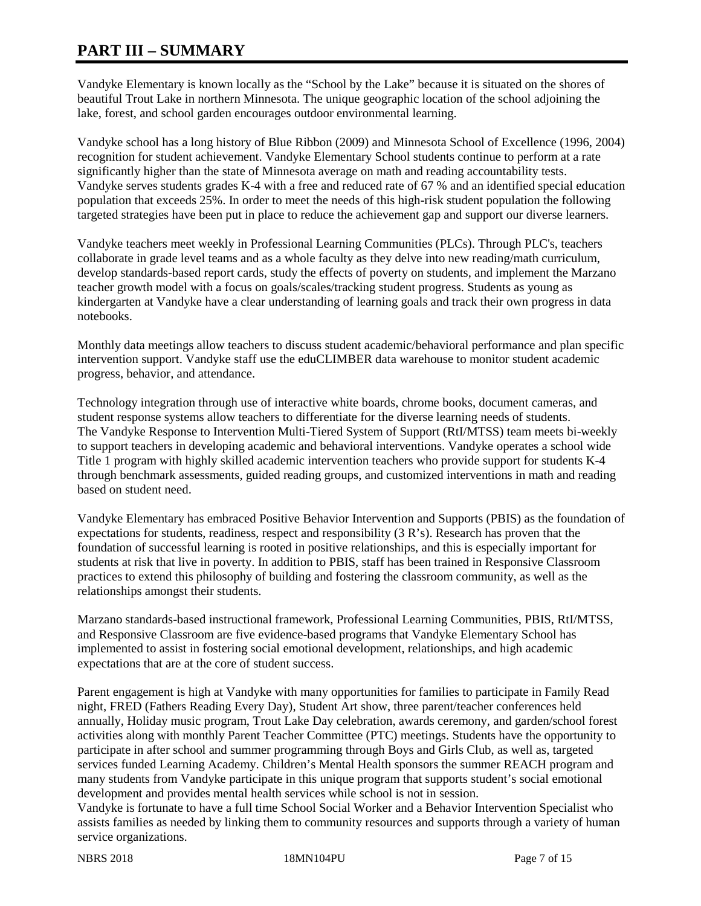# **PART III – SUMMARY**

Vandyke Elementary is known locally as the "School by the Lake" because it is situated on the shores of beautiful Trout Lake in northern Minnesota. The unique geographic location of the school adjoining the lake, forest, and school garden encourages outdoor environmental learning.

Vandyke school has a long history of Blue Ribbon (2009) and Minnesota School of Excellence (1996, 2004) recognition for student achievement. Vandyke Elementary School students continue to perform at a rate significantly higher than the state of Minnesota average on math and reading accountability tests. Vandyke serves students grades K-4 with a free and reduced rate of 67 % and an identified special education population that exceeds 25%. In order to meet the needs of this high-risk student population the following targeted strategies have been put in place to reduce the achievement gap and support our diverse learners.

Vandyke teachers meet weekly in Professional Learning Communities (PLCs). Through PLC's, teachers collaborate in grade level teams and as a whole faculty as they delve into new reading/math curriculum, develop standards-based report cards, study the effects of poverty on students, and implement the Marzano teacher growth model with a focus on goals/scales/tracking student progress. Students as young as kindergarten at Vandyke have a clear understanding of learning goals and track their own progress in data notebooks.

Monthly data meetings allow teachers to discuss student academic/behavioral performance and plan specific intervention support. Vandyke staff use the eduCLIMBER data warehouse to monitor student academic progress, behavior, and attendance.

Technology integration through use of interactive white boards, chrome books, document cameras, and student response systems allow teachers to differentiate for the diverse learning needs of students. The Vandyke Response to Intervention Multi-Tiered System of Support (RtI/MTSS) team meets bi-weekly to support teachers in developing academic and behavioral interventions. Vandyke operates a school wide Title 1 program with highly skilled academic intervention teachers who provide support for students K-4 through benchmark assessments, guided reading groups, and customized interventions in math and reading based on student need.

Vandyke Elementary has embraced Positive Behavior Intervention and Supports (PBIS) as the foundation of expectations for students, readiness, respect and responsibility (3 R's). Research has proven that the foundation of successful learning is rooted in positive relationships, and this is especially important for students at risk that live in poverty. In addition to PBIS, staff has been trained in Responsive Classroom practices to extend this philosophy of building and fostering the classroom community, as well as the relationships amongst their students.

Marzano standards-based instructional framework, Professional Learning Communities, PBIS, RtI/MTSS, and Responsive Classroom are five evidence-based programs that Vandyke Elementary School has implemented to assist in fostering social emotional development, relationships, and high academic expectations that are at the core of student success.

Parent engagement is high at Vandyke with many opportunities for families to participate in Family Read night, FRED (Fathers Reading Every Day), Student Art show, three parent/teacher conferences held annually, Holiday music program, Trout Lake Day celebration, awards ceremony, and garden/school forest activities along with monthly Parent Teacher Committee (PTC) meetings. Students have the opportunity to participate in after school and summer programming through Boys and Girls Club, as well as, targeted services funded Learning Academy. Children's Mental Health sponsors the summer REACH program and many students from Vandyke participate in this unique program that supports student's social emotional development and provides mental health services while school is not in session.

Vandyke is fortunate to have a full time School Social Worker and a Behavior Intervention Specialist who assists families as needed by linking them to community resources and supports through a variety of human service organizations.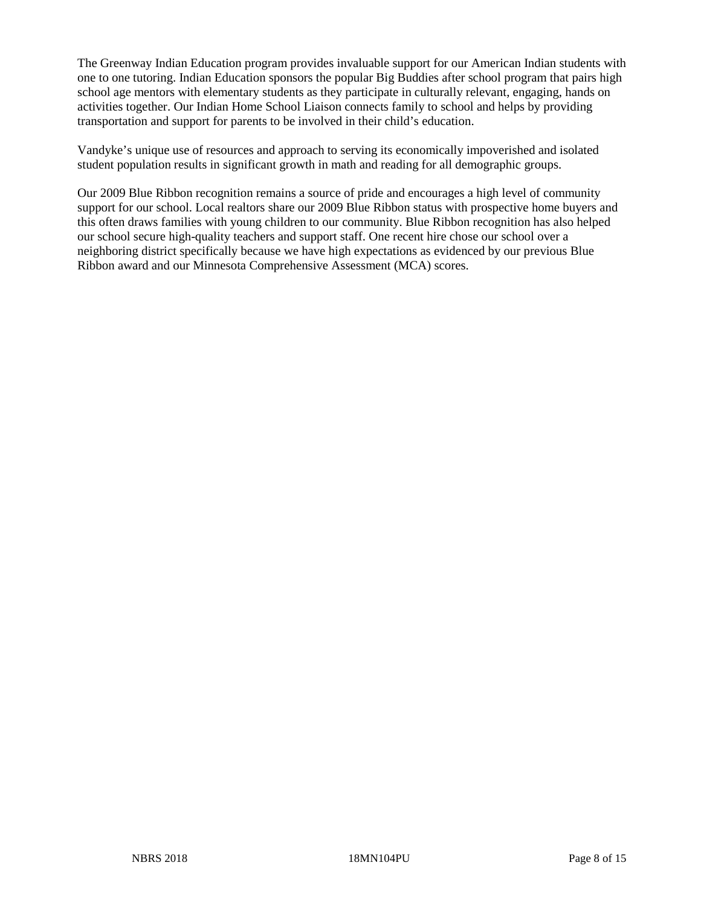The Greenway Indian Education program provides invaluable support for our American Indian students with one to one tutoring. Indian Education sponsors the popular Big Buddies after school program that pairs high school age mentors with elementary students as they participate in culturally relevant, engaging, hands on activities together. Our Indian Home School Liaison connects family to school and helps by providing transportation and support for parents to be involved in their child's education.

Vandyke's unique use of resources and approach to serving its economically impoverished and isolated student population results in significant growth in math and reading for all demographic groups.

Our 2009 Blue Ribbon recognition remains a source of pride and encourages a high level of community support for our school. Local realtors share our 2009 Blue Ribbon status with prospective home buyers and this often draws families with young children to our community. Blue Ribbon recognition has also helped our school secure high-quality teachers and support staff. One recent hire chose our school over a neighboring district specifically because we have high expectations as evidenced by our previous Blue Ribbon award and our Minnesota Comprehensive Assessment (MCA) scores.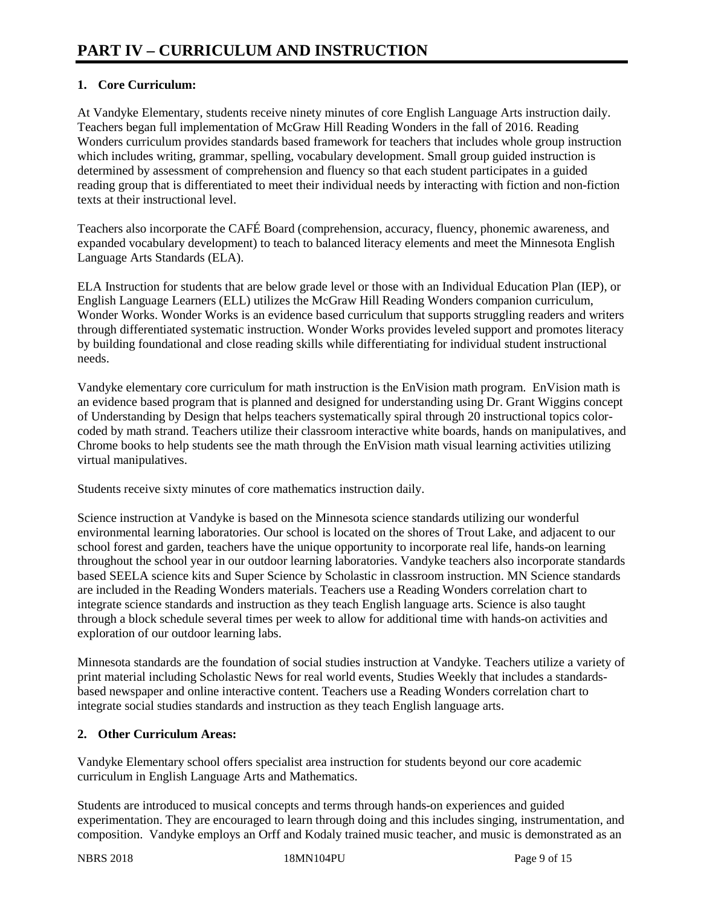# **1. Core Curriculum:**

At Vandyke Elementary, students receive ninety minutes of core English Language Arts instruction daily. Teachers began full implementation of McGraw Hill Reading Wonders in the fall of 2016. Reading Wonders curriculum provides standards based framework for teachers that includes whole group instruction which includes writing, grammar, spelling, vocabulary development. Small group guided instruction is determined by assessment of comprehension and fluency so that each student participates in a guided reading group that is differentiated to meet their individual needs by interacting with fiction and non-fiction texts at their instructional level.

Teachers also incorporate the CAFÉ Board (comprehension, accuracy, fluency, phonemic awareness, and expanded vocabulary development) to teach to balanced literacy elements and meet the Minnesota English Language Arts Standards (ELA).

ELA Instruction for students that are below grade level or those with an Individual Education Plan (IEP), or English Language Learners (ELL) utilizes the McGraw Hill Reading Wonders companion curriculum, Wonder Works. Wonder Works is an evidence based curriculum that supports struggling readers and writers through differentiated systematic instruction. Wonder Works provides leveled support and promotes literacy by building foundational and close reading skills while differentiating for individual student instructional needs.

Vandyke elementary core curriculum for math instruction is the EnVision math program. EnVision math is an evidence based program that is planned and designed for understanding using Dr. Grant Wiggins concept of Understanding by Design that helps teachers systematically spiral through 20 instructional topics colorcoded by math strand. Teachers utilize their classroom interactive white boards, hands on manipulatives, and Chrome books to help students see the math through the EnVision math visual learning activities utilizing virtual manipulatives.

Students receive sixty minutes of core mathematics instruction daily.

Science instruction at Vandyke is based on the Minnesota science standards utilizing our wonderful environmental learning laboratories. Our school is located on the shores of Trout Lake, and adjacent to our school forest and garden, teachers have the unique opportunity to incorporate real life, hands-on learning throughout the school year in our outdoor learning laboratories. Vandyke teachers also incorporate standards based SEELA science kits and Super Science by Scholastic in classroom instruction. MN Science standards are included in the Reading Wonders materials. Teachers use a Reading Wonders correlation chart to integrate science standards and instruction as they teach English language arts. Science is also taught through a block schedule several times per week to allow for additional time with hands-on activities and exploration of our outdoor learning labs.

Minnesota standards are the foundation of social studies instruction at Vandyke. Teachers utilize a variety of print material including Scholastic News for real world events, Studies Weekly that includes a standardsbased newspaper and online interactive content. Teachers use a Reading Wonders correlation chart to integrate social studies standards and instruction as they teach English language arts.

# **2. Other Curriculum Areas:**

Vandyke Elementary school offers specialist area instruction for students beyond our core academic curriculum in English Language Arts and Mathematics.

Students are introduced to musical concepts and terms through hands-on experiences and guided experimentation. They are encouraged to learn through doing and this includes singing, instrumentation, and composition. Vandyke employs an Orff and Kodaly trained music teacher, and music is demonstrated as an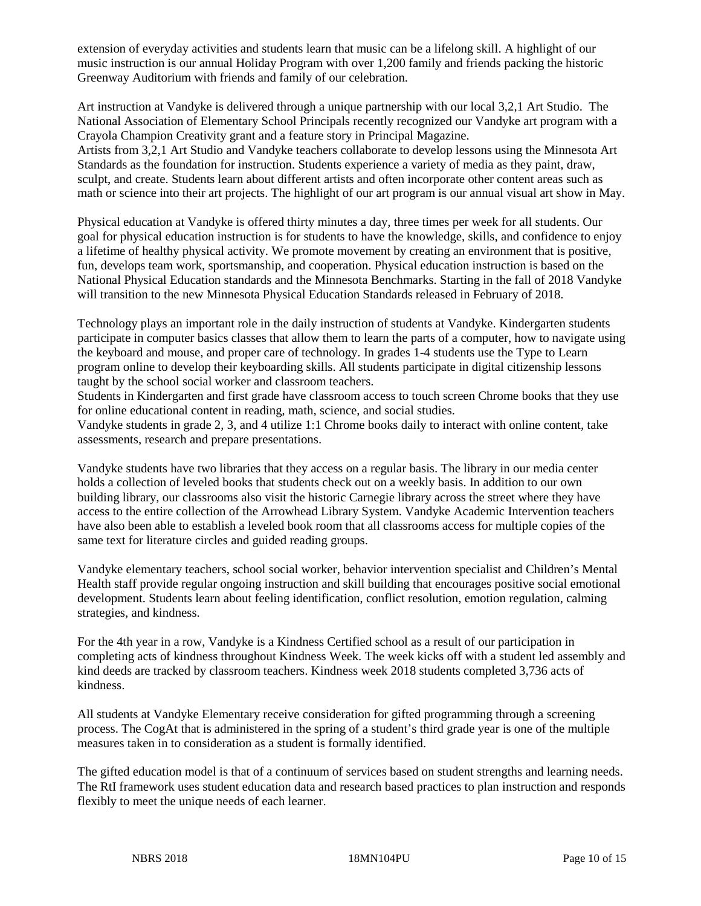extension of everyday activities and students learn that music can be a lifelong skill. A highlight of our music instruction is our annual Holiday Program with over 1,200 family and friends packing the historic Greenway Auditorium with friends and family of our celebration.

Art instruction at Vandyke is delivered through a unique partnership with our local 3,2,1 Art Studio. The National Association of Elementary School Principals recently recognized our Vandyke art program with a Crayola Champion Creativity grant and a feature story in Principal Magazine. Artists from 3,2,1 Art Studio and Vandyke teachers collaborate to develop lessons using the Minnesota Art Standards as the foundation for instruction. Students experience a variety of media as they paint, draw, sculpt, and create. Students learn about different artists and often incorporate other content areas such as math or science into their art projects. The highlight of our art program is our annual visual art show in May.

Physical education at Vandyke is offered thirty minutes a day, three times per week for all students. Our goal for physical education instruction is for students to have the knowledge, skills, and confidence to enjoy a lifetime of healthy physical activity. We promote movement by creating an environment that is positive, fun, develops team work, sportsmanship, and cooperation. Physical education instruction is based on the National Physical Education standards and the Minnesota Benchmarks. Starting in the fall of 2018 Vandyke will transition to the new Minnesota Physical Education Standards released in February of 2018.

Technology plays an important role in the daily instruction of students at Vandyke. Kindergarten students participate in computer basics classes that allow them to learn the parts of a computer, how to navigate using the keyboard and mouse, and proper care of technology. In grades 1-4 students use the Type to Learn program online to develop their keyboarding skills. All students participate in digital citizenship lessons taught by the school social worker and classroom teachers.

Students in Kindergarten and first grade have classroom access to touch screen Chrome books that they use for online educational content in reading, math, science, and social studies.

Vandyke students in grade 2, 3, and 4 utilize 1:1 Chrome books daily to interact with online content, take assessments, research and prepare presentations.

Vandyke students have two libraries that they access on a regular basis. The library in our media center holds a collection of leveled books that students check out on a weekly basis. In addition to our own building library, our classrooms also visit the historic Carnegie library across the street where they have access to the entire collection of the Arrowhead Library System. Vandyke Academic Intervention teachers have also been able to establish a leveled book room that all classrooms access for multiple copies of the same text for literature circles and guided reading groups.

Vandyke elementary teachers, school social worker, behavior intervention specialist and Children's Mental Health staff provide regular ongoing instruction and skill building that encourages positive social emotional development. Students learn about feeling identification, conflict resolution, emotion regulation, calming strategies, and kindness.

For the 4th year in a row, Vandyke is a Kindness Certified school as a result of our participation in completing acts of kindness throughout Kindness Week. The week kicks off with a student led assembly and kind deeds are tracked by classroom teachers. Kindness week 2018 students completed 3,736 acts of kindness.

All students at Vandyke Elementary receive consideration for gifted programming through a screening process. The CogAt that is administered in the spring of a student's third grade year is one of the multiple measures taken in to consideration as a student is formally identified.

The gifted education model is that of a continuum of services based on student strengths and learning needs. The RtI framework uses student education data and research based practices to plan instruction and responds flexibly to meet the unique needs of each learner.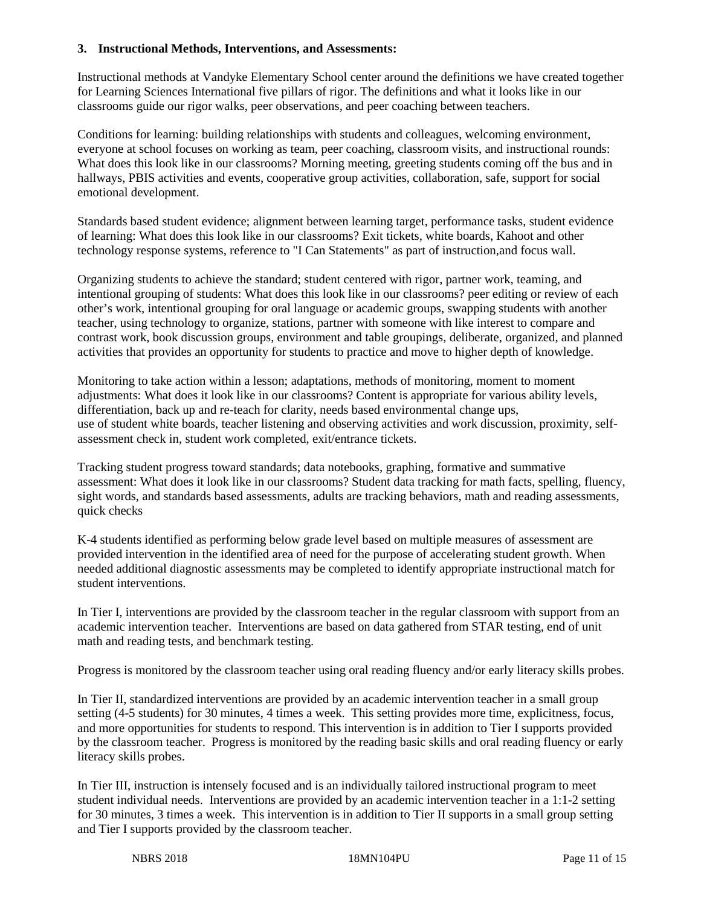## **3. Instructional Methods, Interventions, and Assessments:**

Instructional methods at Vandyke Elementary School center around the definitions we have created together for Learning Sciences International five pillars of rigor. The definitions and what it looks like in our classrooms guide our rigor walks, peer observations, and peer coaching between teachers.

Conditions for learning: building relationships with students and colleagues, welcoming environment, everyone at school focuses on working as team, peer coaching, classroom visits, and instructional rounds: What does this look like in our classrooms? Morning meeting, greeting students coming off the bus and in hallways, PBIS activities and events, cooperative group activities, collaboration, safe, support for social emotional development.

Standards based student evidence; alignment between learning target, performance tasks, student evidence of learning: What does this look like in our classrooms? Exit tickets, white boards, Kahoot and other technology response systems, reference to "I Can Statements" as part of instruction,and focus wall.

Organizing students to achieve the standard; student centered with rigor, partner work, teaming, and intentional grouping of students: What does this look like in our classrooms? peer editing or review of each other's work, intentional grouping for oral language or academic groups, swapping students with another teacher, using technology to organize, stations, partner with someone with like interest to compare and contrast work, book discussion groups, environment and table groupings, deliberate, organized, and planned activities that provides an opportunity for students to practice and move to higher depth of knowledge.

Monitoring to take action within a lesson; adaptations, methods of monitoring, moment to moment adjustments: What does it look like in our classrooms? Content is appropriate for various ability levels, differentiation, back up and re-teach for clarity, needs based environmental change ups, use of student white boards, teacher listening and observing activities and work discussion, proximity, selfassessment check in, student work completed, exit/entrance tickets.

Tracking student progress toward standards; data notebooks, graphing, formative and summative assessment: What does it look like in our classrooms? Student data tracking for math facts, spelling, fluency, sight words, and standards based assessments, adults are tracking behaviors, math and reading assessments, quick checks

K-4 students identified as performing below grade level based on multiple measures of assessment are provided intervention in the identified area of need for the purpose of accelerating student growth. When needed additional diagnostic assessments may be completed to identify appropriate instructional match for student interventions.

In Tier I, interventions are provided by the classroom teacher in the regular classroom with support from an academic intervention teacher. Interventions are based on data gathered from STAR testing, end of unit math and reading tests, and benchmark testing.

Progress is monitored by the classroom teacher using oral reading fluency and/or early literacy skills probes.

In Tier II, standardized interventions are provided by an academic intervention teacher in a small group setting (4-5 students) for 30 minutes, 4 times a week. This setting provides more time, explicitness, focus, and more opportunities for students to respond. This intervention is in addition to Tier I supports provided by the classroom teacher. Progress is monitored by the reading basic skills and oral reading fluency or early literacy skills probes.

In Tier III, instruction is intensely focused and is an individually tailored instructional program to meet student individual needs. Interventions are provided by an academic intervention teacher in a 1:1-2 setting for 30 minutes, 3 times a week. This intervention is in addition to Tier II supports in a small group setting and Tier I supports provided by the classroom teacher.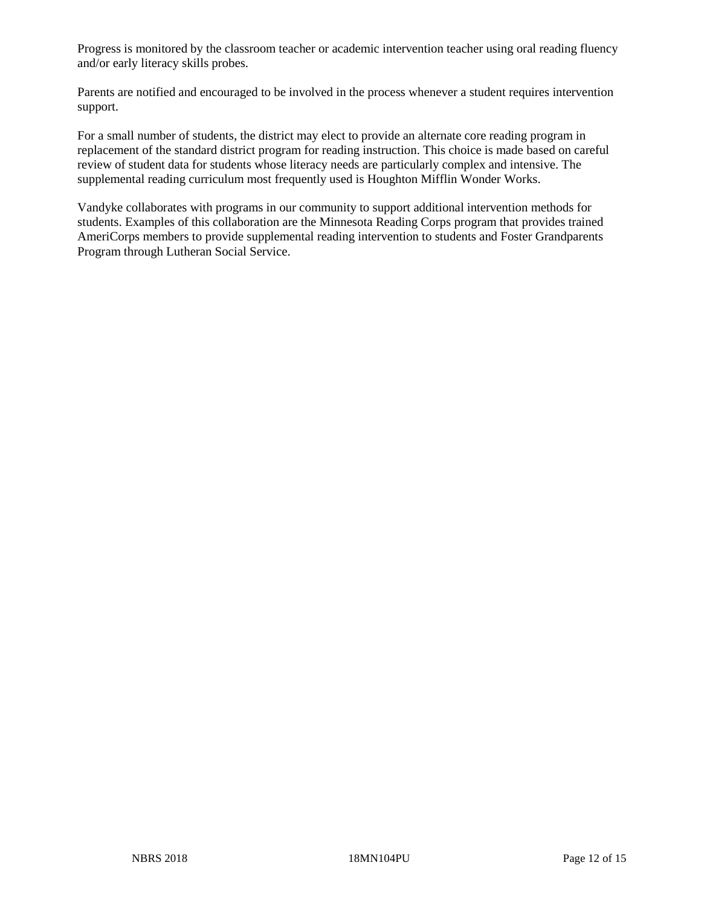Progress is monitored by the classroom teacher or academic intervention teacher using oral reading fluency and/or early literacy skills probes.

Parents are notified and encouraged to be involved in the process whenever a student requires intervention support.

For a small number of students, the district may elect to provide an alternate core reading program in replacement of the standard district program for reading instruction. This choice is made based on careful review of student data for students whose literacy needs are particularly complex and intensive. The supplemental reading curriculum most frequently used is Houghton Mifflin Wonder Works.

Vandyke collaborates with programs in our community to support additional intervention methods for students. Examples of this collaboration are the Minnesota Reading Corps program that provides trained AmeriCorps members to provide supplemental reading intervention to students and Foster Grandparents Program through Lutheran Social Service.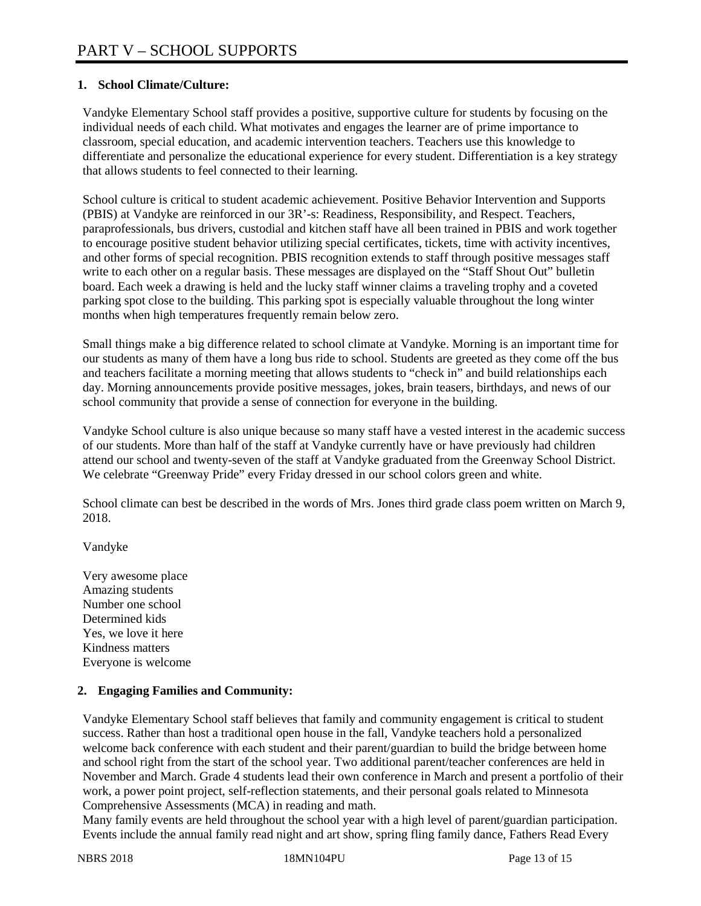# **1. School Climate/Culture:**

Vandyke Elementary School staff provides a positive, supportive culture for students by focusing on the individual needs of each child. What motivates and engages the learner are of prime importance to classroom, special education, and academic intervention teachers. Teachers use this knowledge to differentiate and personalize the educational experience for every student. Differentiation is a key strategy that allows students to feel connected to their learning.

School culture is critical to student academic achievement. Positive Behavior Intervention and Supports (PBIS) at Vandyke are reinforced in our 3R'-s: Readiness, Responsibility, and Respect. Teachers, paraprofessionals, bus drivers, custodial and kitchen staff have all been trained in PBIS and work together to encourage positive student behavior utilizing special certificates, tickets, time with activity incentives, and other forms of special recognition. PBIS recognition extends to staff through positive messages staff write to each other on a regular basis. These messages are displayed on the "Staff Shout Out" bulletin board. Each week a drawing is held and the lucky staff winner claims a traveling trophy and a coveted parking spot close to the building. This parking spot is especially valuable throughout the long winter months when high temperatures frequently remain below zero.

Small things make a big difference related to school climate at Vandyke. Morning is an important time for our students as many of them have a long bus ride to school. Students are greeted as they come off the bus and teachers facilitate a morning meeting that allows students to "check in" and build relationships each day. Morning announcements provide positive messages, jokes, brain teasers, birthdays, and news of our school community that provide a sense of connection for everyone in the building.

Vandyke School culture is also unique because so many staff have a vested interest in the academic success of our students. More than half of the staff at Vandyke currently have or have previously had children attend our school and twenty-seven of the staff at Vandyke graduated from the Greenway School District. We celebrate "Greenway Pride" every Friday dressed in our school colors green and white.

School climate can best be described in the words of Mrs. Jones third grade class poem written on March 9, 2018.

Vandyke

Very awesome place Amazing students Number one school Determined kids Yes, we love it here Kindness matters Everyone is welcome

## **2. Engaging Families and Community:**

Vandyke Elementary School staff believes that family and community engagement is critical to student success. Rather than host a traditional open house in the fall, Vandyke teachers hold a personalized welcome back conference with each student and their parent/guardian to build the bridge between home and school right from the start of the school year. Two additional parent/teacher conferences are held in November and March. Grade 4 students lead their own conference in March and present a portfolio of their work, a power point project, self-reflection statements, and their personal goals related to Minnesota Comprehensive Assessments (MCA) in reading and math.

Many family events are held throughout the school year with a high level of parent/guardian participation. Events include the annual family read night and art show, spring fling family dance, Fathers Read Every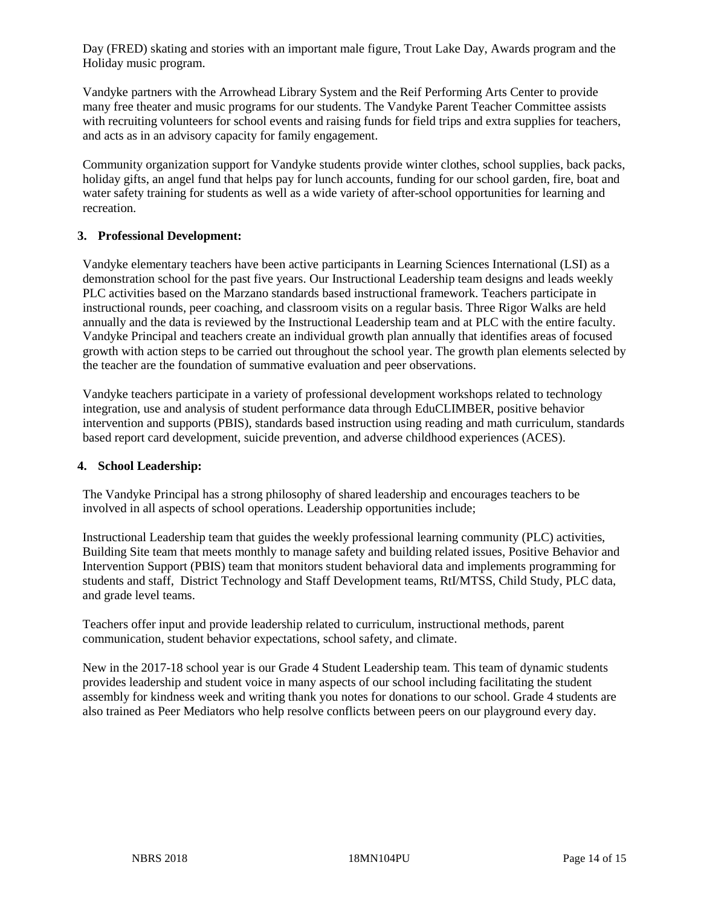Day (FRED) skating and stories with an important male figure, Trout Lake Day, Awards program and the Holiday music program.

Vandyke partners with the Arrowhead Library System and the Reif Performing Arts Center to provide many free theater and music programs for our students. The Vandyke Parent Teacher Committee assists with recruiting volunteers for school events and raising funds for field trips and extra supplies for teachers, and acts as in an advisory capacity for family engagement.

Community organization support for Vandyke students provide winter clothes, school supplies, back packs, holiday gifts, an angel fund that helps pay for lunch accounts, funding for our school garden, fire, boat and water safety training for students as well as a wide variety of after-school opportunities for learning and recreation.

## **3. Professional Development:**

Vandyke elementary teachers have been active participants in Learning Sciences International (LSI) as a demonstration school for the past five years. Our Instructional Leadership team designs and leads weekly PLC activities based on the Marzano standards based instructional framework. Teachers participate in instructional rounds, peer coaching, and classroom visits on a regular basis. Three Rigor Walks are held annually and the data is reviewed by the Instructional Leadership team and at PLC with the entire faculty. Vandyke Principal and teachers create an individual growth plan annually that identifies areas of focused growth with action steps to be carried out throughout the school year. The growth plan elements selected by the teacher are the foundation of summative evaluation and peer observations.

Vandyke teachers participate in a variety of professional development workshops related to technology integration, use and analysis of student performance data through EduCLIMBER, positive behavior intervention and supports (PBIS), standards based instruction using reading and math curriculum, standards based report card development, suicide prevention, and adverse childhood experiences (ACES).

## **4. School Leadership:**

The Vandyke Principal has a strong philosophy of shared leadership and encourages teachers to be involved in all aspects of school operations. Leadership opportunities include;

Instructional Leadership team that guides the weekly professional learning community (PLC) activities, Building Site team that meets monthly to manage safety and building related issues, Positive Behavior and Intervention Support (PBIS) team that monitors student behavioral data and implements programming for students and staff, District Technology and Staff Development teams, RtI/MTSS, Child Study, PLC data, and grade level teams.

Teachers offer input and provide leadership related to curriculum, instructional methods, parent communication, student behavior expectations, school safety, and climate.

New in the 2017-18 school year is our Grade 4 Student Leadership team. This team of dynamic students provides leadership and student voice in many aspects of our school including facilitating the student assembly for kindness week and writing thank you notes for donations to our school. Grade 4 students are also trained as Peer Mediators who help resolve conflicts between peers on our playground every day.